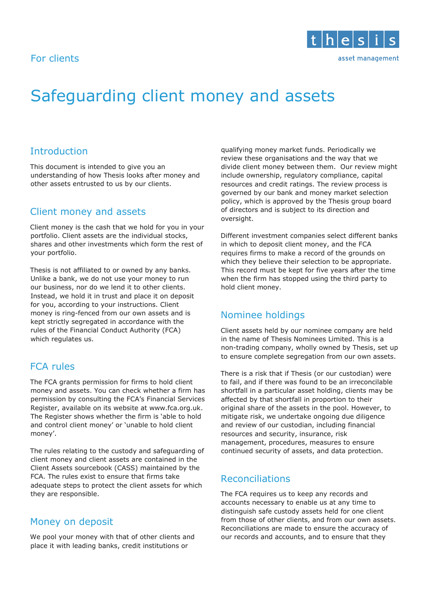## For clients



# Safeguarding client money and assets

# Introduction

This document is intended to give you an understanding of how Thesis looks after money and other assets entrusted to us by our clients.

# Client money and assets

Client money is the cash that we hold for you in your portfolio. Client assets are the individual stocks, shares and other investments which form the rest of your portfolio.

Thesis is not affiliated to or owned by any banks. Unlike a bank, we do not use your money to run our business, nor do we lend it to other clients. Instead, we hold it in trust and place it on deposit for you, according to your instructions. Client money is ring-fenced from our own assets and is kept strictly segregated in accordance with the rules of the Financial Conduct Authority (FCA) which regulates us.

# FCA rules

The FCA grants permission for firms to hold client money and assets. You can check whether a firm has permission by consulting the FCA's Financial Services Register, available on its website at www.fca.org.uk. The Register shows whether the firm is 'able to hold and control client money' or 'unable to hold client money'.

The rules relating to the custody and safeguarding of client money and client assets are contained in the Client Assets sourcebook (CASS) maintained by the FCA. The rules exist to ensure that firms take adequate steps to protect the client assets for which they are responsible.

# Money on deposit

We pool your money with that of other clients and place it with leading banks, credit institutions or

qualifying money market funds. Periodically we review these organisations and the way that we divide client money between them. Our review might include ownership, regulatory compliance, capital resources and credit ratings. The review process is governed by our bank and money market selection policy, which is approved by the Thesis group board of directors and is subject to its direction and oversight.

Different investment companies select different banks in which to deposit client money, and the FCA requires firms to make a record of the grounds on which they believe their selection to be appropriate. This record must be kept for five years after the time when the firm has stopped using the third party to hold client money.

# Nominee holdings

Client assets held by our nominee company are held in the name of Thesis Nominees Limited. This is a non-trading company, wholly owned by Thesis, set up to ensure complete segregation from our own assets.

There is a risk that if Thesis (or our custodian) were to fail, and if there was found to be an irreconcilable shortfall in a particular asset holding, clients may be affected by that shortfall in proportion to their original share of the assets in the pool. However, to mitigate risk, we undertake ongoing due diligence and review of our custodian, including financial resources and security, insurance, risk management, procedures, measures to ensure continued security of assets, and data protection.

# Reconciliations

The FCA requires us to keep any records and accounts necessary to enable us at any time to distinguish safe custody assets held for one client from those of other clients, and from our own assets. Reconciliations are made to ensure the accuracy of our records and accounts, and to ensure that they